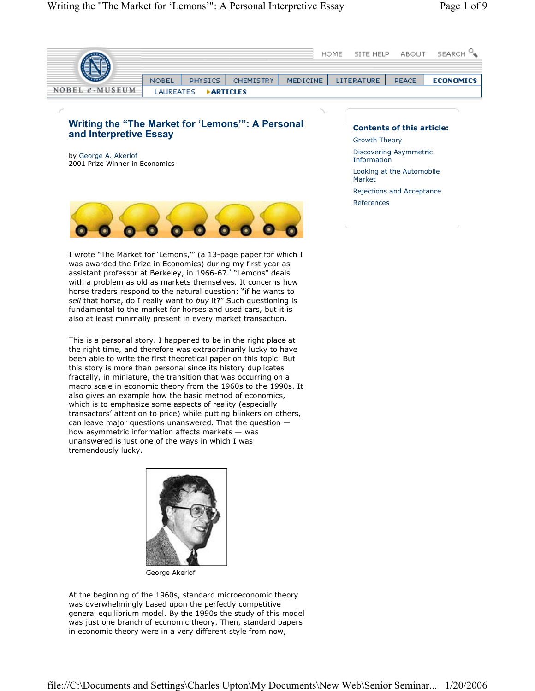

At the beginning of the 1960s, standard microeconomic theory was overwhelmingly based upon the perfectly competitive general equilibrium model. By the 1990s the study of this model was just one branch of economic theory. Then, standard papers in economic theory were in a very different style from now,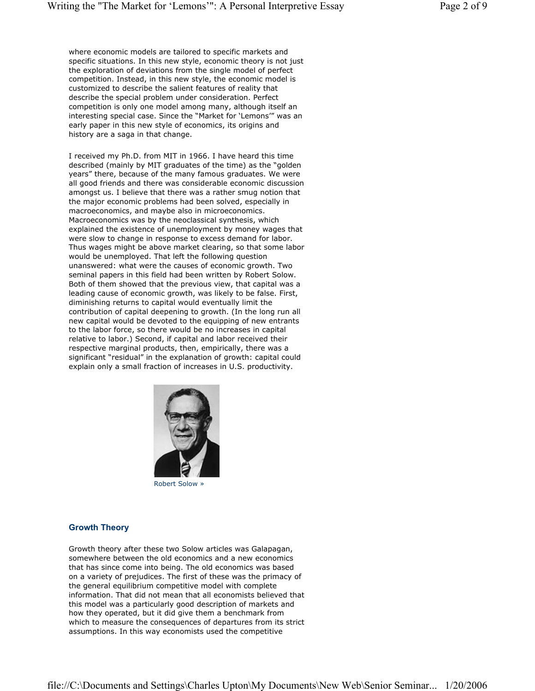where economic models are tailored to specific markets and specific situations. In this new style, economic theory is not just the exploration of deviations from the single model of perfect competition. Instead, in this new style, the economic model is customized to describe the salient features of reality that describe the special problem under consideration. Perfect competition is only one model among many, although itself an interesting special case. Since the "Market for 'Lemons'" was an early paper in this new style of economics, its origins and history are a saga in that change.

I received my Ph.D. from MIT in 1966. I have heard this time described (mainly by MIT graduates of the time) as the "golden years" there, because of the many famous graduates. We were all good friends and there was considerable economic discussion amongst us. I believe that there was a rather smug notion that the major economic problems had been solved, especially in macroeconomics, and maybe also in microeconomics. Macroeconomics was by the neoclassical synthesis, which explained the existence of unemployment by money wages that were slow to change in response to excess demand for labor. Thus wages might be above market clearing, so that some labor would be unemployed. That left the following question unanswered: what were the causes of economic growth. Two seminal papers in this field had been written by Robert Solow. Both of them showed that the previous view, that capital was a leading cause of economic growth, was likely to be false. First, diminishing returns to capital would eventually limit the contribution of capital deepening to growth. (In the long run all new capital would be devoted to the equipping of new entrants to the labor force, so there would be no increases in capital relative to labor.) Second, if capital and labor received their respective marginal products, then, empirically, there was a significant "residual" in the explanation of growth: capital could explain only a small fraction of increases in U.S. productivity.



Robert Solow »

# **Growth Theory**

Growth theory after these two Solow articles was Galapagan, somewhere between the old economics and a new economics that has since come into being. The old economics was based on a variety of prejudices. The first of these was the primacy of the general equilibrium competitive model with complete information. That did not mean that all economists believed that this model was a particularly good description of markets and how they operated, but it did give them a benchmark from which to measure the consequences of departures from its strict assumptions. In this way economists used the competitive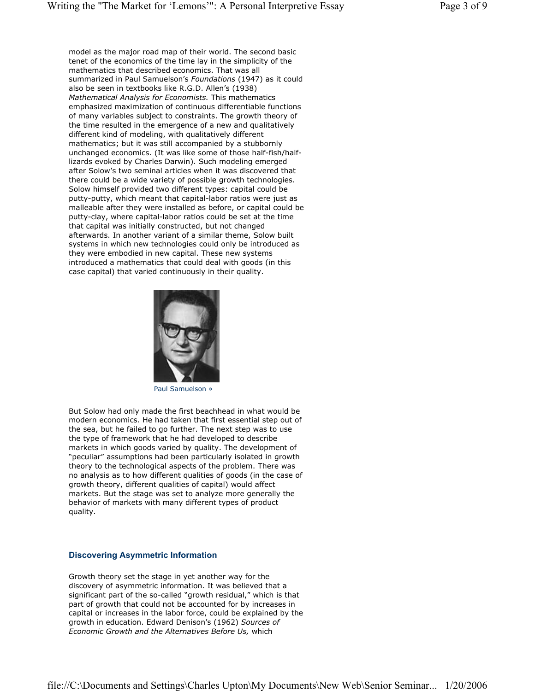model as the major road map of their world. The second basic tenet of the economics of the time lay in the simplicity of the mathematics that described economics. That was all summarized in Paul Samuelson's *Foundations* (1947) as it could also be seen in textbooks like R.G.D. Allen's (1938) *Mathematical Analysis for Economists.* This mathematics emphasized maximization of continuous differentiable functions of many variables subject to constraints. The growth theory of the time resulted in the emergence of a new and qualitatively different kind of modeling, with qualitatively different mathematics; but it was still accompanied by a stubbornly unchanged economics. (It was like some of those half-fish/halflizards evoked by Charles Darwin). Such modeling emerged after Solow's two seminal articles when it was discovered that there could be a wide variety of possible growth technologies. Solow himself provided two different types: capital could be putty-putty, which meant that capital-labor ratios were just as malleable after they were installed as before, or capital could be putty-clay, where capital-labor ratios could be set at the time that capital was initially constructed, but not changed afterwards. In another variant of a similar theme, Solow built systems in which new technologies could only be introduced as they were embodied in new capital. These new systems introduced a mathematics that could deal with goods (in this case capital) that varied continuously in their quality.



Paul Samuelson »

But Solow had only made the first beachhead in what would be modern economics. He had taken that first essential step out of the sea, but he failed to go further. The next step was to use the type of framework that he had developed to describe markets in which goods varied by quality. The development of "peculiar" assumptions had been particularly isolated in growth theory to the technological aspects of the problem. There was no analysis as to how different qualities of goods (in the case of growth theory, different qualities of capital) would affect markets. But the stage was set to analyze more generally the behavior of markets with many different types of product quality.

### **Discovering Asymmetric Information**

Growth theory set the stage in yet another way for the discovery of asymmetric information. It was believed that a significant part of the so-called "growth residual," which is that part of growth that could not be accounted for by increases in capital or increases in the labor force, could be explained by the growth in education. Edward Denison's (1962) *Sources of Economic Growth and the Alternatives Before Us,* which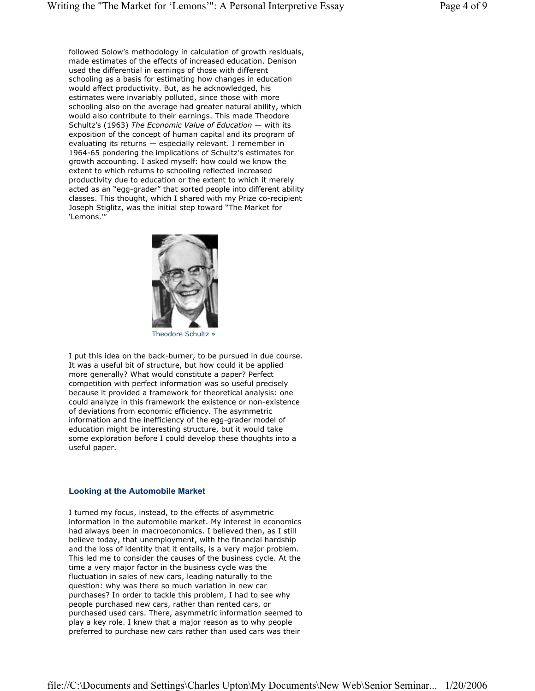followed Solow's methodology in calculation of growth residuals, made estimates of the effects of increased education. Denison used the differential in earnings of those with different schooling as a basis for estimating how changes in education would affect productivity. But, as he acknowledged, his estimates were invariably polluted, since those with more schooling also on the average had greater natural ability, which would also contribute to their earnings. This made Theodore Schultz's (1963) *The Economic Value of Education* — with its exposition of the concept of human capital and its program of evaluating its returns — especially relevant. I remember in 1964-65 pondering the implications of Schultz's estimates for growth accounting. I asked myself: how could we know the extent to which returns to schooling reflected increased productivity due to education or the extent to which it merely acted as an "egg-grader" that sorted people into different ability classes. This thought, which I shared with my Prize co-recipient Joseph Stiglitz, was the initial step toward "The Market for 'Lemons.'"



Theodore Schultz »

I put this idea on the back-burner, to be pursued in due course. It was a useful bit of structure, but how could it be applied more generally? What would constitute a paper? Perfect competition with perfect information was so useful precisely because it provided a framework for theoretical analysis: one could analyze in this framework the existence or non-existence of deviations from economic efficiency. The asymmetric information and the inefficiency of the egg-grader model of education might be interesting structure, but it would take some exploration before I could develop these thoughts into a useful paper.

## **Looking at the Automobile Market**

I turned my focus, instead, to the effects of asymmetric information in the automobile market. My interest in economics had always been in macroeconomics. I believed then, as I still believe today, that unemployment, with the financial hardship and the loss of identity that it entails, is a very major problem. This led me to consider the causes of the business cycle. At the time a very major factor in the business cycle was the fluctuation in sales of new cars, leading naturally to the question: why was there so much variation in new car purchases? In order to tackle this problem, I had to see why people purchased new cars, rather than rented cars, or purchased used cars. There, asymmetric information seemed to play a key role. I knew that a major reason as to why people preferred to purchase new cars rather than used cars was their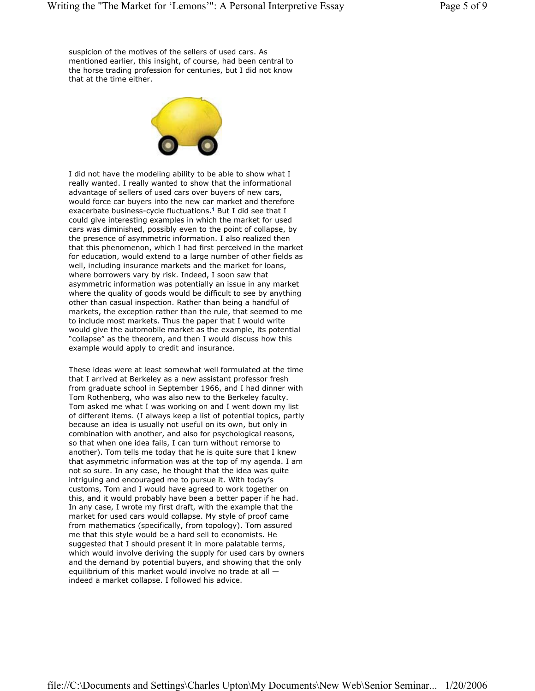suspicion of the motives of the sellers of used cars. As mentioned earlier, this insight, of course, had been central to the horse trading profession for centuries, but I did not know that at the time either.



I did not have the modeling ability to be able to show what I really wanted. I really wanted to show that the informational advantage of sellers of used cars over buyers of new cars, would force car buyers into the new car market and therefore exacerbate business-cycle fluctuations.**<sup>1</sup>** But I did see that I could give interesting examples in which the market for used cars was diminished, possibly even to the point of collapse, by the presence of asymmetric information. I also realized then that this phenomenon, which I had first perceived in the market for education, would extend to a large number of other fields as well, including insurance markets and the market for loans, where borrowers vary by risk. Indeed, I soon saw that asymmetric information was potentially an issue in any market where the quality of goods would be difficult to see by anything other than casual inspection. Rather than being a handful of markets, the exception rather than the rule, that seemed to me to include most markets. Thus the paper that I would write would give the automobile market as the example, its potential "collapse" as the theorem, and then I would discuss how this example would apply to credit and insurance.

These ideas were at least somewhat well formulated at the time that I arrived at Berkeley as a new assistant professor fresh from graduate school in September 1966, and I had dinner with Tom Rothenberg, who was also new to the Berkeley faculty. Tom asked me what I was working on and I went down my list of different items. (I always keep a list of potential topics, partly because an idea is usually not useful on its own, but only in combination with another, and also for psychological reasons, so that when one idea fails, I can turn without remorse to another). Tom tells me today that he is quite sure that I knew that asymmetric information was at the top of my agenda. I am not so sure. In any case, he thought that the idea was quite intriguing and encouraged me to pursue it. With today's customs, Tom and I would have agreed to work together on this, and it would probably have been a better paper if he had. In any case, I wrote my first draft, with the example that the market for used cars would collapse. My style of proof came from mathematics (specifically, from topology). Tom assured me that this style would be a hard sell to economists. He suggested that I should present it in more palatable terms, which would involve deriving the supply for used cars by owners and the demand by potential buyers, and showing that the only equilibrium of this market would involve no trade at all indeed a market collapse. I followed his advice.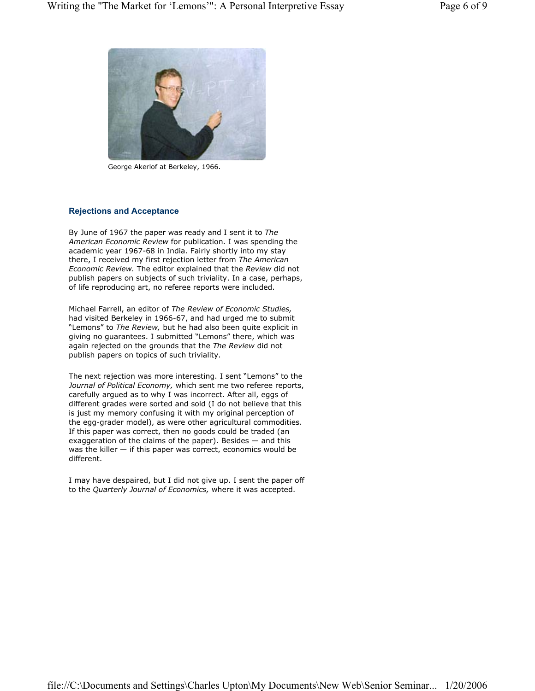

George Akerlof at Berkeley, 1966.

# **Rejections and Acceptance**

By June of 1967 the paper was ready and I sent it to *The American Economic Review* for publication. I was spending the academic year 1967-68 in India. Fairly shortly into my stay there, I received my first rejection letter from *The American Economic Review.* The editor explained that the *Review* did not publish papers on subjects of such triviality. In a case, perhaps, of life reproducing art, no referee reports were included.

Michael Farrell, an editor of *The Review of Economic Studies,* had visited Berkeley in 1966-67, and had urged me to submit "Lemons" to *The Review,* but he had also been quite explicit in giving no guarantees. I submitted "Lemons" there, which was again rejected on the grounds that the *The Review* did not publish papers on topics of such triviality.

The next rejection was more interesting. I sent "Lemons" to the *Journal of Political Economy,* which sent me two referee reports, carefully argued as to why I was incorrect. After all, eggs of different grades were sorted and sold (I do not believe that this is just my memory confusing it with my original perception of the egg-grader model), as were other agricultural commodities. If this paper was correct, then no goods could be traded (an exaggeration of the claims of the paper). Besides — and this was the killer — if this paper was correct, economics would be different.

I may have despaired, but I did not give up. I sent the paper off to the *Quarterly Journal of Economics,* where it was accepted.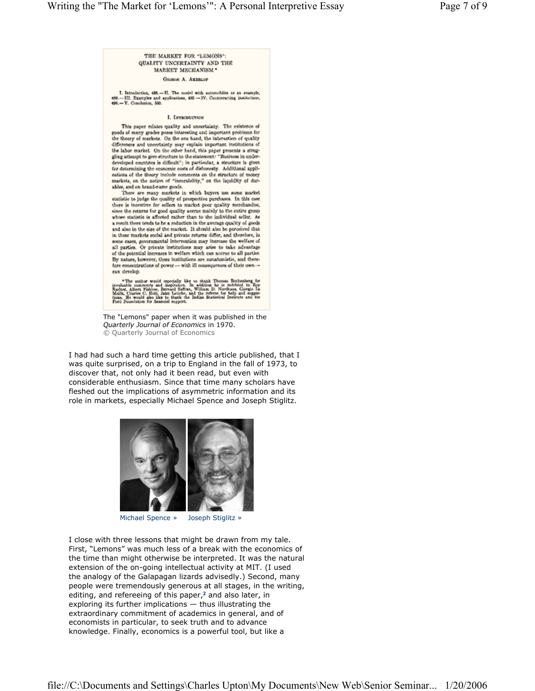THE MARKET FOR "LEMONS": **QUALITY UNCERTAINTY AND THE** MARKET MECHANISM \*

GROBOR A. AKERLOP

I, Introduction,  $688$  —II. The model with sutcessibles as an example,  $698$  —III. Examples and applications,  $692$  —IV. Constencting institution,  $699$  —V. Conclusion,  $500$ .

#### I. INTRODUCTION

This paper relates quality and uncertainty. The existence of goods of many grades poses interesting and important problems for the theory of markets. On the one hand, the interaction of quality differences and uncertainty may explain important institutions of the labor market. On the other hand, this paper presents a struggling attempt to give structure to the statement: "Business in underdeveloped countries is difficult"; in particular, a structure is given<br>for determining the economic costs of dishonesty. Additional appliextions of the theory include comments on the structure of m markets, on the notion of "insurability," on the liquidity of durables, and on brand-name goods.

There are many markets in which buyers use some market statistic to judge the quality of prospective purchases. In this case there is incentive for sellers to market poor quality merchandise, since the returns for good quality scenue mainly to the entire group whose statistic is affected rather than to the individual seller. As a result there tends to be a reduction in the average quality of goods and also in the size of the market. It should also be perceived that in these markets social and private returns differ, and therefore, in some cases, governmental intervention may increase the welfare of all parties. Or private institutions may arise to take advantage of the potential increases in welfare which can accrue to all parties. By nature, however, these institutions are nonatomistic, and therefore concentrations of power -- with ill consequences of their own -can develop.

"The suitor would especially like to thank Thomas Rothenberg for invisible comments and implement in this<br>line, while in indicate and the indebted to Rey in the interior C. Blothen, Carrier in Radine, Carrier in the refer

The "Lemons" paper when it was published in the *Quarterly Journal of Economics* in 1970. © Quarterly Journal of Economics

I had had such a hard time getting this article published, that I was quite surprised, on a trip to England in the fall of 1973, to discover that, not only had it been read, but even with considerable enthusiasm. Since that time many scholars have fleshed out the implications of asymmetric information and its role in markets, especially Michael Spence and Joseph Stiglitz.



Michael Spence » Joseph Stiglitz »

I close with three lessons that might be drawn from my tale. First, "Lemons" was much less of a break with the economics of the time than might otherwise be interpreted. It was the natural extension of the on-going intellectual activity at MIT. (I used the analogy of the Galapagan lizards advisedly.) Second, many people were tremendously generous at all stages, in the writing, editing, and refereeing of this paper,**<sup>2</sup>** and also later, in exploring its further implications — thus illustrating the extraordinary commitment of academics in general, and of economists in particular, to seek truth and to advance knowledge. Finally, economics is a powerful tool, but like a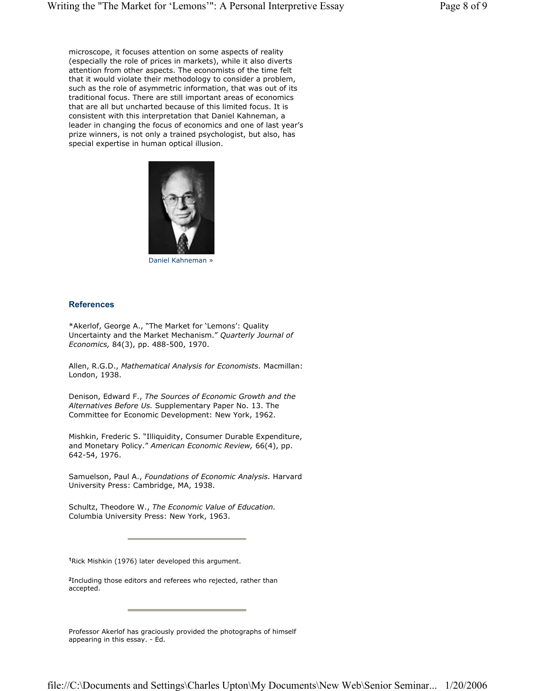microscope, it focuses attention on some aspects of reality (especially the role of prices in markets), while it also diverts attention from other aspects. The economists of the time felt that it would violate their methodology to consider a problem, such as the role of asymmetric information, that was out of its traditional focus. There are still important areas of economics that are all but uncharted because of this limited focus. It is consistent with this interpretation that Daniel Kahneman, a leader in changing the focus of economics and one of last year's prize winners, is not only a trained psychologist, but also, has special expertise in human optical illusion.



Daniel Kahneman »

## **References**

\*Akerlof, George A., "The Market for 'Lemons': Quality Uncertainty and the Market Mechanism." *Quarterly Journal of Economics,* 84(3), pp. 488-500, 1970.

Allen, R.G.D., *Mathematical Analysis for Economists.* Macmillan: London, 1938.

Denison, Edward F., *The Sources of Economic Growth and the Alternatives Before Us.* Supplementary Paper No. 13. The Committee for Economic Development: New York, 1962.

Mishkin, Frederic S. "Illiquidity, Consumer Durable Expenditure, and Monetary Policy." *American Economic Review,* 66(4), pp. 642-54, 1976.

Samuelson, Paul A., *Foundations of Economic Analysis.* Harvard University Press: Cambridge, MA, 1938.

Schultz, Theodore W., *The Economic Value of Education.*  Columbia University Press: New York, 1963.

**<sup>1</sup>**Rick Mishkin (1976) later developed this argument.

**<sup>2</sup>**Including those editors and referees who rejected, rather than accepted.

Professor Akerlof has graciously provided the photographs of himself appearing in this essay. - Ed.